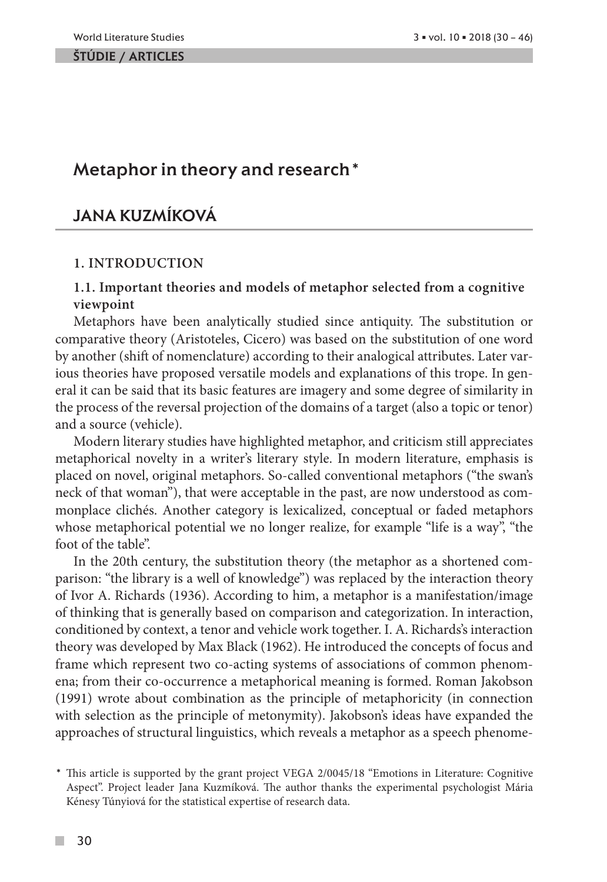# Metaphor in theory and research\*

# Jana Kuzmíková

### **1. INTRODUCTION**

## **1.1. Important theories and models of metaphor selected from a cognitive viewpoint**

Metaphors have been analytically studied since antiquity. The substitution or comparative theory (Aristoteles, Cicero) was based on the substitution of one word by another (shift of nomenclature) according to their analogical attributes. Later various theories have proposed versatile models and explanations of this trope. In general it can be said that its basic features are imagery and some degree of similarity in the process of the reversal projection of the domains of a target (also a topic or tenor) and a source (vehicle).

Modern literary studies have highlighted metaphor, and criticism still appreciates metaphorical novelty in a writer's literary style. In modern literature, emphasis is placed on novel, original metaphors. So-called conventional metaphors ("the swan's neck of that woman"), that were acceptable in the past, are now understood as commonplace clichés. Another category is lexicalized, conceptual or faded metaphors whose metaphorical potential we no longer realize, for example "life is a way", "the foot of the table".

In the 20th century, the substitution theory (the metaphor as a shortened comparison: "the library is a well of knowledge") was replaced by the interaction theory of Ivor A. Richards (1936). According to him, a metaphor is a manifestation/image of thinking that is generally based on comparison and categorization. In interaction, conditioned by context, a tenor and vehicle work together. I. A. Richards's interaction theory was developed by Max Black (1962). He introduced the concepts of focus and frame which represent two co-acting systems of associations of common phenomena; from their co-occurrence a metaphorical meaning is formed. Roman Jakobson (1991) wrote about combination as the principle of metaphoricity (in connection with selection as the principle of metonymity). Jakobson's ideas have expanded the approaches of structural linguistics, which reveals a metaphor as a speech phenome-

 $\mathcal{C}^{\mathcal{A}}$ 

<sup>\*</sup> This article is supported by the grant project VEGA 2/0045/18 "Emotions in Literature: Cognitive Aspect". Project leader Jana Kuzmíková. The author thanks the experimental psychologist Mária Kénesy Túnyiová for the statistical expertise of research data.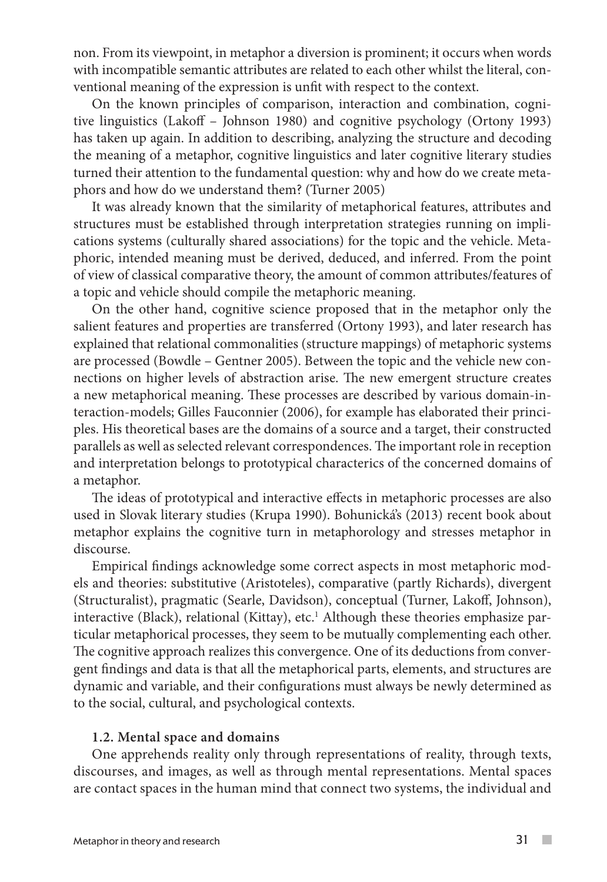non. From its viewpoint, in metaphor a diversion is prominent; it occurs when words with incompatible semantic attributes are related to each other whilst the literal, conventional meaning of the expression is unfit with respect to the context.

On the known principles of comparison, interaction and combination, cognitive linguistics (Lakoff – Johnson 1980) and cognitive psychology (Ortony 1993) has taken up again. In addition to describing, analyzing the structure and decoding the meaning of a metaphor, cognitive linguistics and later cognitive literary studies turned their attention to the fundamental question: why and how do we create metaphors and how do we understand them? (Turner 2005)

It was already known that the similarity of metaphorical features, attributes and structures must be established through interpretation strategies running on implications systems (culturally shared associations) for the topic and the vehicle. Metaphoric, intended meaning must be derived, deduced, and inferred. From the point of view of classical comparative theory, the amount of common attributes/features of a topic and vehicle should compile the metaphoric meaning.

On the other hand, cognitive science proposed that in the metaphor only the salient features and properties are transferred (Ortony 1993), and later research has explained that relational commonalities (structure mappings) of metaphoric systems are processed (Bowdle – Gentner 2005). Between the topic and the vehicle new connections on higher levels of abstraction arise. The new emergent structure creates a new metaphorical meaning. These processes are described by various domain-interaction-models; Gilles Fauconnier (2006), for example has elaborated their principles. His theoretical bases are the domains of a source and a target, their constructed parallels as well as selected relevant correspondences. The important role in reception and interpretation belongs to prototypical characterics of the concerned domains of a metaphor.

The ideas of prototypical and interactive effects in metaphoric processes are also used in Slovak literary studies (Krupa 1990). Bohunická's (2013) recent book about metaphor explains the cognitive turn in metaphorology and stresses metaphor in discourse.

Empirical findings acknowledge some correct aspects in most metaphoric models and theories: substitutive (Aristoteles), comparative (partly Richards), divergent (Structuralist), pragmatic (Searle, Davidson), conceptual (Turner, Lakoff, Johnson), interactive (Black), relational (Kittay), etc.<sup>1</sup> Although these theories emphasize particular metaphorical processes, they seem to be mutually complementing each other. The cognitive approach realizes this convergence. One of its deductions from convergent findings and data is that all the metaphorical parts, elements, and structures are dynamic and variable, and their configurations must always be newly determined as to the social, cultural, and psychological contexts.

### **1.2. Mental space and domains**

One apprehends reality only through representations of reality, through texts, discourses, and images, as well as through mental representations. Mental spaces are contact spaces in the human mind that connect two systems, the individual and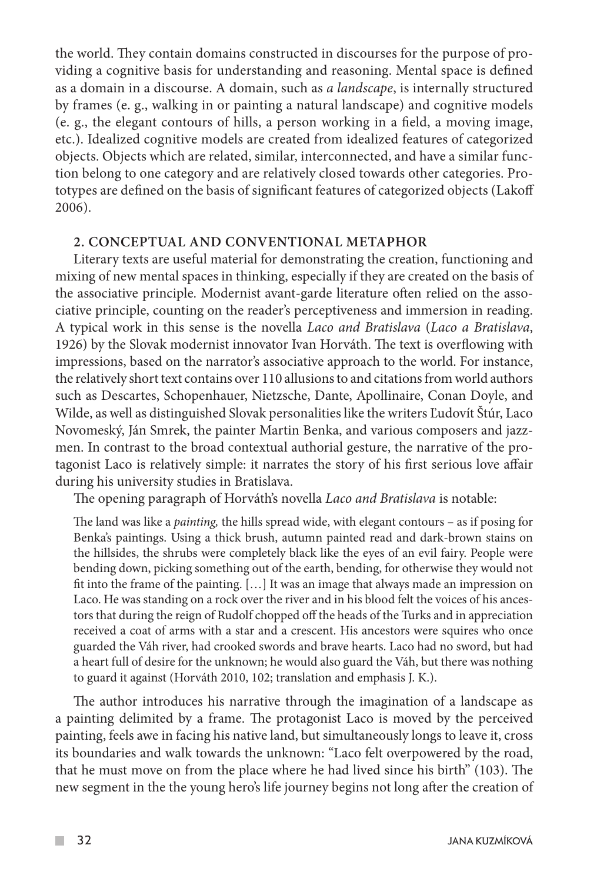the world. They contain domains constructed in discourses for the purpose of providing a cognitive basis for understanding and reasoning. Mental space is defined as a domain in a discourse. A domain, such as *a landscape*, is internally structured by frames (e. g., walking in or painting a natural landscape) and cognitive models (e. g., the elegant contours of hills, a person working in a field, a moving image, etc.). Idealized cognitive models are created from idealized features of categorized objects. Objects which are related, similar, interconnected, and have a similar function belong to one category and are relatively closed towards other categories. Prototypes are defined on the basis of significant features of categorized objects (Lakoff 2006).

### **2. CONCEPTUAL AND CONVENTIONAL METAPHOR**

Literary texts are useful material for demonstrating the creation, functioning and mixing of new mental spaces in thinking, especially if they are created on the basis of the associative principle. Modernist avant-garde literature often relied on the associative principle, counting on the reader's perceptiveness and immersion in reading. A typical work in this sense is the novella *Laco and Bratislava* (*Laco a Bratislava*, 1926) by the Slovak modernist innovator Ivan Horváth. The text is overflowing with impressions, based on the narrator's associative approach to the world. For instance, the relatively short text contains over 110 allusions to and citations from world authors such as Descartes, Schopenhauer, Nietzsche, Dante, Apollinaire, Conan Doyle, and Wilde, as well as distinguished Slovak personalities like the writers Ľudovít Štúr, Laco Novomeský, Ján Smrek, the painter Martin Benka, and various composers and jazzmen. In contrast to the broad contextual authorial gesture, the narrative of the protagonist Laco is relatively simple: it narrates the story of his first serious love affair during his university studies in Bratislava.

The opening paragraph of Horváth's novella *Laco and Bratislava* is notable:

The land was like a *painting,* the hills spread wide, with elegant contours – as if posing for Benka's paintings. Using a thick brush, autumn painted read and dark-brown stains on the hillsides, the shrubs were completely black like the eyes of an evil fairy. People were bending down, picking something out of the earth, bending, for otherwise they would not fit into the frame of the painting. […] It was an image that always made an impression on Laco. He was standing on a rock over the river and in his blood felt the voices of his ancestors that during the reign of Rudolf chopped off the heads of the Turks and in appreciation received a coat of arms with a star and a crescent. His ancestors were squires who once guarded the Váh river, had crooked swords and brave hearts. Laco had no sword, but had a heart full of desire for the unknown; he would also guard the Váh, but there was nothing to guard it against (Horváth 2010, 102; translation and emphasis J. K.).

The author introduces his narrative through the imagination of a landscape as a painting delimited by a frame. The protagonist Laco is moved by the perceived painting, feels awe in facing his native land, but simultaneously longs to leave it, cross its boundaries and walk towards the unknown: "Laco felt overpowered by the road, that he must move on from the place where he had lived since his birth" (103). The new segment in the the young hero's life journey begins not long after the creation of

 $\mathcal{L}^{\mathcal{A}}$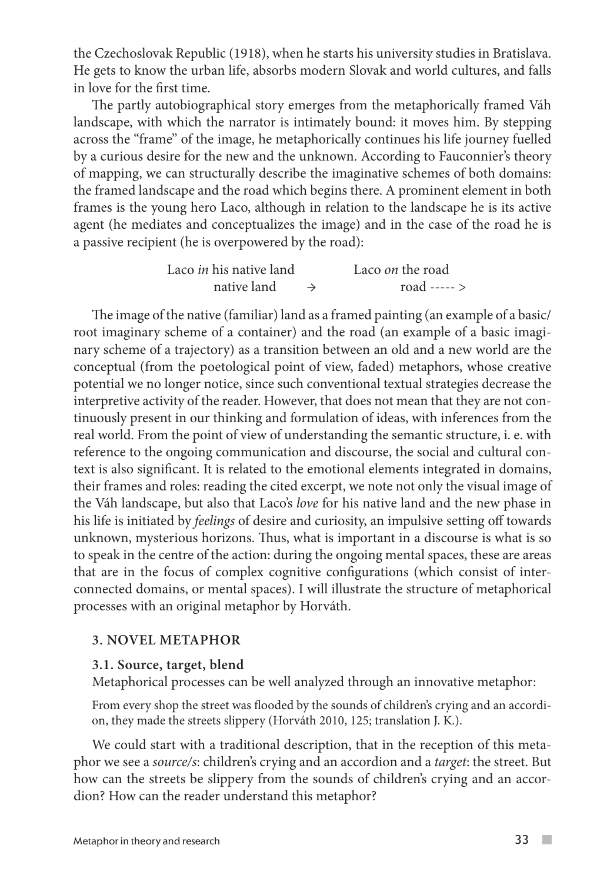the Czechoslovak Republic (1918), when he starts his university studies in Bratislava. He gets to know the urban life, absorbs modern Slovak and world cultures, and falls in love for the first time.

The partly autobiographical story emerges from the metaphorically framed Váh landscape, with which the narrator is intimately bound: it moves him. By stepping across the "frame" of the image, he metaphorically continues his life journey fuelled by a curious desire for the new and the unknown. According to Fauconnier's theory of mapping, we can structurally describe the imaginative schemes of both domains: the framed landscape and the road which begins there. A prominent element in both frames is the young hero Laco, although in relation to the landscape he is its active agent (he mediates and conceptualizes the image) and in the case of the road he is a passive recipient (he is overpowered by the road):

| Laco in his native land | Laco <i>on</i> the road |
|-------------------------|-------------------------|
| native land             | road ----- $>$          |

The image of the native (familiar) land as a framed painting (an example of a basic/ root imaginary scheme of a container) and the road (an example of a basic imaginary scheme of a trajectory) as a transition between an old and a new world are the conceptual (from the poetological point of view, faded) metaphors, whose creative potential we no longer notice, since such conventional textual strategies decrease the interpretive activity of the reader. However, that does not mean that they are not continuously present in our thinking and formulation of ideas, with inferences from the real world. From the point of view of understanding the semantic structure, i. e. with reference to the ongoing communication and discourse, the social and cultural context is also significant. It is related to the emotional elements integrated in domains, their frames and roles: reading the cited excerpt, we note not only the visual image of the Váh landscape, but also that Laco's *love* for his native land and the new phase in his life is initiated by *feelings* of desire and curiosity, an impulsive setting off towards unknown, mysterious horizons. Thus, what is important in a discourse is what is so to speak in the centre of the action: during the ongoing mental spaces, these are areas that are in the focus of complex cognitive configurations (which consist of interconnected domains, or mental spaces). I will illustrate the structure of metaphorical processes with an original metaphor by Horváth.

## **3. NOVEL METAPHOR**

### **3.1. Source, target, blend**

Metaphorical processes can be well analyzed through an innovative metaphor:

From every shop the street was flooded by the sounds of children's crying and an accordion, they made the streets slippery (Horváth 2010, 125; translation J. K.).

We could start with a traditional description, that in the reception of this metaphor we see a *source/s*: children's crying and an accordion and a *target*: the street. But how can the streets be slippery from the sounds of children's crying and an accordion? How can the reader understand this metaphor?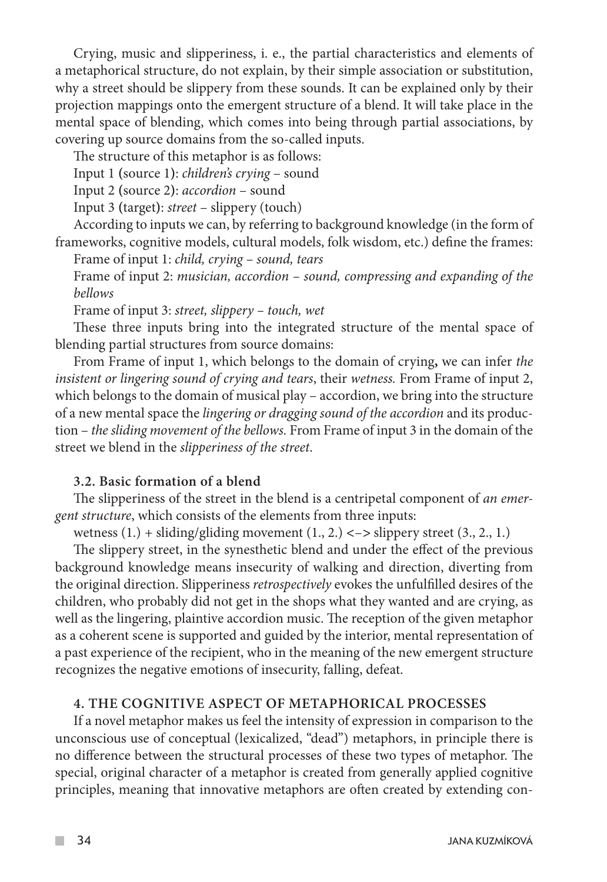Crying, music and slipperiness, i. e., the partial characteristics and elements of a metaphorical structure, do not explain, by their simple association or substitution, why a street should be slippery from these sounds. It can be explained only by their projection mappings onto the emergent structure of a blend. It will take place in the mental space of blending, which comes into being through partial associations, by covering up source domains from the so-called inputs.

The structure of this metaphor is as follows:

Input 1 **(**source 1**)**: *children's crying* – sound

Input 2 **(**source 2**)**: *accordion* – sound

Input 3 **(**target**)**: *street* – slippery (touch)

According to inputs we can, by referring to background knowledge (in the form of frameworks, cognitive models, cultural models, folk wisdom, etc.) define the frames:

Frame of input 1: *child, crying – sound, tears*

Frame of input 2: *musician, accordion – sound, compressing and expanding of the bellows*

Frame of input 3: *street, slippery – touch, wet* 

These three inputs bring into the integrated structure of the mental space of blending partial structures from source domains:

From Frame of input 1, which belongs to the domain of crying**,** we can infer *the insistent or lingering sound of crying and tears*, their *wetness.* From Frame of input 2, which belongs to the domain of musical play – accordion, we bring into the structure of a new mental space the *lingering or dragging sound of the accordion* and its production – *the sliding movement of the bellows.* From Frame of input 3 in the domain of the street we blend in the *slipperiness of the street*.

## **3.2. Basic formation of a blend**

The slipperiness of the street in the blend is a centripetal component of *an emergent structure*, which consists of the elements from three inputs:

wetness  $(1.) + sliding/gliding movement (1., 2.) < -> slippery street (3., 2., 1.)$ 

The slippery street, in the synesthetic blend and under the effect of the previous background knowledge means insecurity of walking and direction, diverting from the original direction. Slipperiness *retrospectively* evokes the unfulfilled desires of the children, who probably did not get in the shops what they wanted and are crying, as well as the lingering, plaintive accordion music. The reception of the given metaphor as a coherent scene is supported and guided by the interior, mental representation of a past experience of the recipient, who in the meaning of the new emergent structure recognizes the negative emotions of insecurity, falling, defeat.

### **4. THE COGNITIVE ASPECT OF METAPHORICAL PROCESSES**

If a novel metaphor makes us feel the intensity of expression in comparison to the unconscious use of conceptual (lexicalized, "dead") metaphors, in principle there is no difference between the structural processes of these two types of metaphor. The special, original character of a metaphor is created from generally applied cognitive principles, meaning that innovative metaphors are often created by extending con-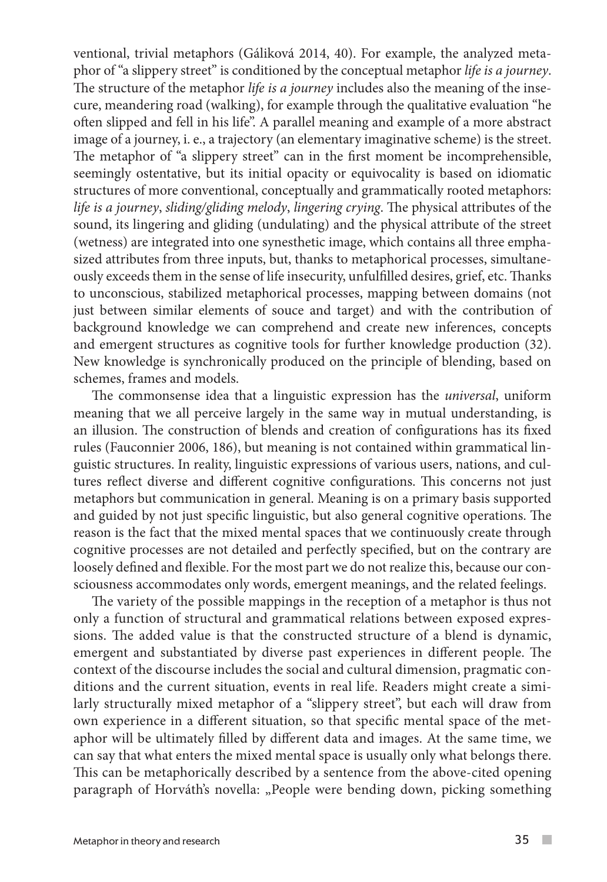ventional, trivial metaphors (Gáliková 2014, 40). For example, the analyzed metaphor of "a slippery street" is conditioned by the conceptual metaphor *life is a journey*. The structure of the metaphor *life is a journey* includes also the meaning of the insecure, meandering road (walking), for example through the qualitative evaluation "he often slipped and fell in his life". A parallel meaning and example of a more abstract image of a journey, i. e., a trajectory (an elementary imaginative scheme) is the street. The metaphor of "a slippery street" can in the first moment be incomprehensible, seemingly ostentative, but its initial opacity or equivocality is based on idiomatic structures of more conventional, conceptually and grammatically rooted metaphors: *life is a journey*, *sliding/gliding melody*, *lingering crying*. The physical attributes of the sound, its lingering and gliding (undulating) and the physical attribute of the street (wetness) are integrated into one synesthetic image, which contains all three emphasized attributes from three inputs, but, thanks to metaphorical processes, simultaneously exceeds them in the sense of life insecurity, unfulfilled desires, grief, etc. Thanks to unconscious, stabilized metaphorical processes, mapping between domains (not just between similar elements of souce and target) and with the contribution of background knowledge we can comprehend and create new inferences, concepts and emergent structures as cognitive tools for further knowledge production (32). New knowledge is synchronically produced on the principle of blending, based on schemes, frames and models.

The commonsense idea that a linguistic expression has the *universal*, uniform meaning that we all perceive largely in the same way in mutual understanding, is an illusion. The construction of blends and creation of configurations has its fixed rules (Fauconnier 2006, 186), but meaning is not contained within grammatical linguistic structures. In reality, linguistic expressions of various users, nations, and cultures reflect diverse and different cognitive configurations. This concerns not just metaphors but communication in general. Meaning is on a primary basis supported and guided by not just specific linguistic, but also general cognitive operations. The reason is the fact that the mixed mental spaces that we continuously create through cognitive processes are not detailed and perfectly specified, but on the contrary are loosely defined and flexible. For the most part we do not realize this, because our consciousness accommodates only words, emergent meanings, and the related feelings.

The variety of the possible mappings in the reception of a metaphor is thus not only a function of structural and grammatical relations between exposed expressions. The added value is that the constructed structure of a blend is dynamic, emergent and substantiated by diverse past experiences in different people. The context of the discourse includes the social and cultural dimension, pragmatic conditions and the current situation, events in real life. Readers might create a similarly structurally mixed metaphor of a "slippery street", but each will draw from own experience in a different situation, so that specific mental space of the metaphor will be ultimately filled by different data and images. At the same time, we can say that what enters the mixed mental space is usually only what belongs there. This can be metaphorically described by a sentence from the above-cited opening paragraph of Horváth's novella: "People were bending down, picking something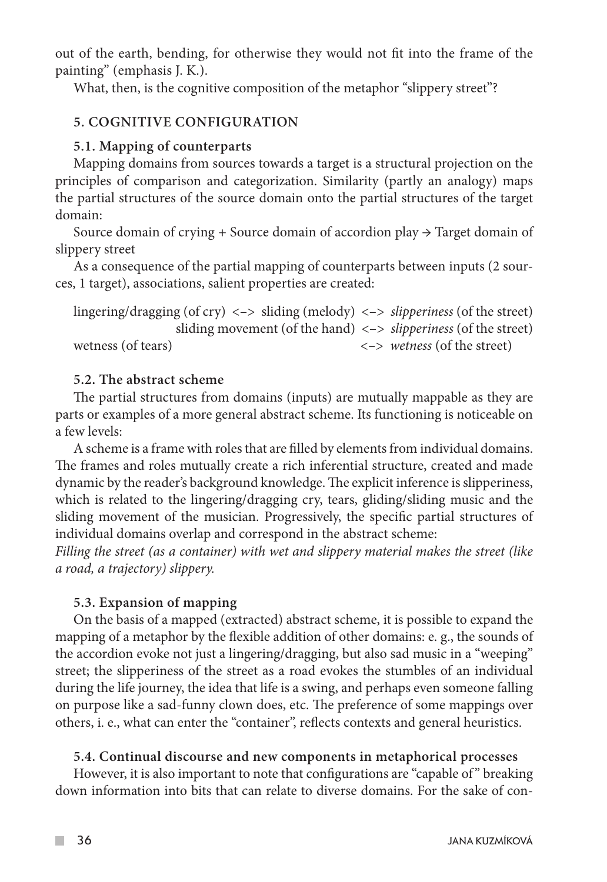out of the earth, bending, for otherwise they would not fit into the frame of the painting" (emphasis J. K.).

What, then, is the cognitive composition of the metaphor "slippery street"?

# **5. COGNITIVE CONFIGURATION**

## **5.1. Mapping of counterparts**

Mapping domains from sources towards a target is a structural projection on the principles of comparison and categorization. Similarity (partly an analogy) maps the partial structures of the source domain onto the partial structures of the target domain:

Source domain of crying + Source domain of accordion play  $\rightarrow$  Target domain of slippery street

As a consequence of the partial mapping of counterparts between inputs (2 sources, 1 target), associations, salient properties are created:

lingering/dragging (of cry) <–> sliding (melody) <–> *slipperiness* (of the street) sliding movement (of the hand) <–> *slipperiness* (of the street) wetness (of tears) <–> *wetness* (of the street)

## **5.2. The abstract scheme**

The partial structures from domains (inputs) are mutually mappable as they are parts or examples of a more general abstract scheme. Its functioning is noticeable on a few levels:

A scheme is a frame with roles that are filled by elements from individual domains. The frames and roles mutually create a rich inferential structure, created and made dynamic by the reader's background knowledge. The explicit inference is slipperiness, which is related to the lingering/dragging cry, tears, gliding/sliding music and the sliding movement of the musician. Progressively, the specific partial structures of individual domains overlap and correspond in the abstract scheme:

*Filling the street (as a container) with wet and slippery material makes the street (like a road, a trajectory) slippery.*

# **5.3. Expansion of mapping**

On the basis of a mapped (extracted) abstract scheme, it is possible to expand the mapping of a metaphor by the flexible addition of other domains: e. g., the sounds of the accordion evoke not just a lingering/dragging, but also sad music in a "weeping" street; the slipperiness of the street as a road evokes the stumbles of an individual during the life journey, the idea that life is a swing, and perhaps even someone falling on purpose like a sad-funny clown does, etc. The preference of some mappings over others, i. e., what can enter the "container", reflects contexts and general heuristics.

# **5.4. Continual discourse and new components in metaphorical processes**

However, it is also important to note that configurations are "capable of" breaking down information into bits that can relate to diverse domains. For the sake of con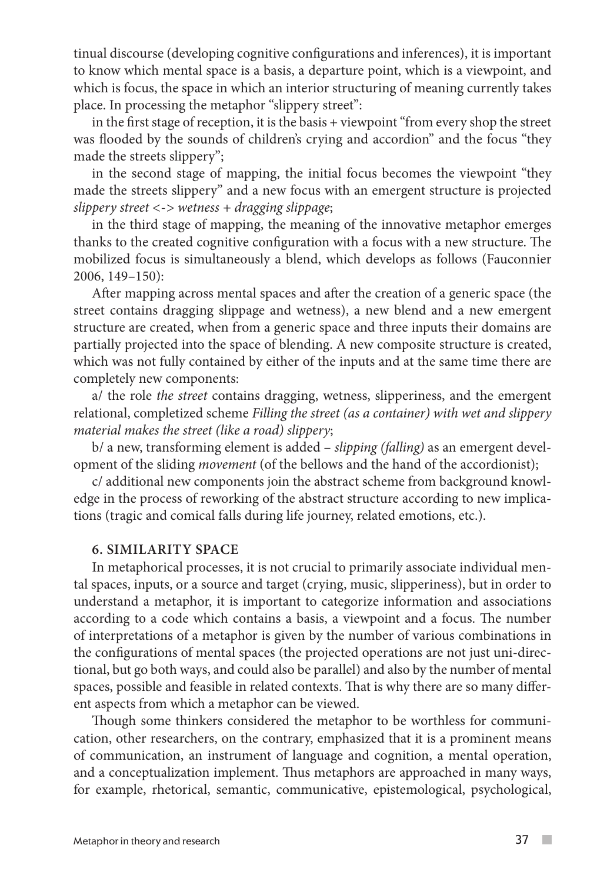tinual discourse (developing cognitive configurations and inferences), it is important to know which mental space is a basis, a departure point, which is a viewpoint, and which is focus, the space in which an interior structuring of meaning currently takes place. In processing the metaphor "slippery street":

in the first stage of reception, it is the basis + viewpoint "from every shop the street was flooded by the sounds of children's crying and accordion" and the focus "they made the streets slippery";

in the second stage of mapping, the initial focus becomes the viewpoint "they made the streets slippery" and a new focus with an emergent structure is projected *slippery street <-> wetness + dragging slippage*;

in the third stage of mapping, the meaning of the innovative metaphor emerges thanks to the created cognitive configuration with a focus with a new structure. The mobilized focus is simultaneously a blend, which develops as follows (Fauconnier 2006, 149–150):

After mapping across mental spaces and after the creation of a generic space (the street contains dragging slippage and wetness), a new blend and a new emergent structure are created, when from a generic space and three inputs their domains are partially projected into the space of blending. A new composite structure is created, which was not fully contained by either of the inputs and at the same time there are completely new components:

a/ the role *the street* contains dragging, wetness, slipperiness, and the emergent relational, completized scheme *Filling the street (as a container) with wet and slippery material makes the street (like a road) slippery*;

b/ a new, transforming element is added – *slipping (falling)* as an emergent development of the sliding *movement* (of the bellows and the hand of the accordionist);

c/ additional new components join the abstract scheme from background knowledge in the process of reworking of the abstract structure according to new implications (tragic and comical falls during life journey, related emotions, etc.).

## **6. SIMILARITY SPACE**

In metaphorical processes, it is not crucial to primarily associate individual mental spaces, inputs, or a source and target (crying, music, slipperiness), but in order to understand a metaphor, it is important to categorize information and associations according to a code which contains a basis, a viewpoint and a focus. The number of interpretations of a metaphor is given by the number of various combinations in the configurations of mental spaces (the projected operations are not just uni-directional, but go both ways, and could also be parallel) and also by the number of mental spaces, possible and feasible in related contexts. That is why there are so many different aspects from which a metaphor can be viewed.

Though some thinkers considered the metaphor to be worthless for communication, other researchers, on the contrary, emphasized that it is a prominent means of communication, an instrument of language and cognition, a mental operation, and a conceptualization implement. Thus metaphors are approached in many ways, for example, rhetorical, semantic, communicative, epistemological, psychological,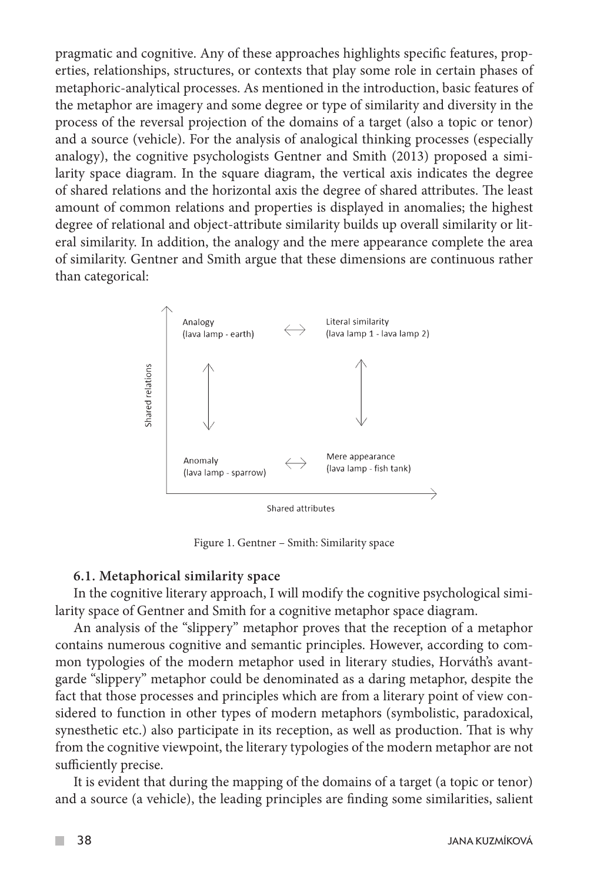pragmatic and cognitive. Any of these approaches highlights specific features, properties, relationships, structures, or contexts that play some role in certain phases of metaphoric-analytical processes. As mentioned in the introduction, basic features of the metaphor are imagery and some degree or type of similarity and diversity in the process of the reversal projection of the domains of a target (also a topic or tenor) and a source (vehicle). For the analysis of analogical thinking processes (especially analogy), the cognitive psychologists Gentner and Smith (2013) proposed a similarity space diagram. In the square diagram, the vertical axis indicates the degree of shared relations and the horizontal axis the degree of shared attributes. The least amount of common relations and properties is displayed in anomalies; the highest degree of relational and object-attribute similarity builds up overall similarity or literal similarity. In addition, the analogy and the mere appearance complete the area of similarity. Gentner and Smith argue that these dimensions are continuous rather than categorical:



Figure 1. Gentner – Smith: Similarity space

#### **6.1. Metaphorical similarity space**

In the cognitive literary approach, I will modify the cognitive psychological similarity space of Gentner and Smith for a cognitive metaphor space diagram.

An analysis of the "slippery" metaphor proves that the reception of a metaphor contains numerous cognitive and semantic principles. However, according to common typologies of the modern metaphor used in literary studies, Horváth's avantgarde "slippery" metaphor could be denominated as a daring metaphor, despite the fact that those processes and principles which are from a literary point of view considered to function in other types of modern metaphors (symbolistic, paradoxical, synesthetic etc.) also participate in its reception, as well as production. That is why from the cognitive viewpoint, the literary typologies of the modern metaphor are not sufficiently precise.

It is evident that during the mapping of the domains of a target (a topic or tenor) and a source (a vehicle), the leading principles are finding some similarities, salient

 $\mathcal{C}^{\mathcal{A}}$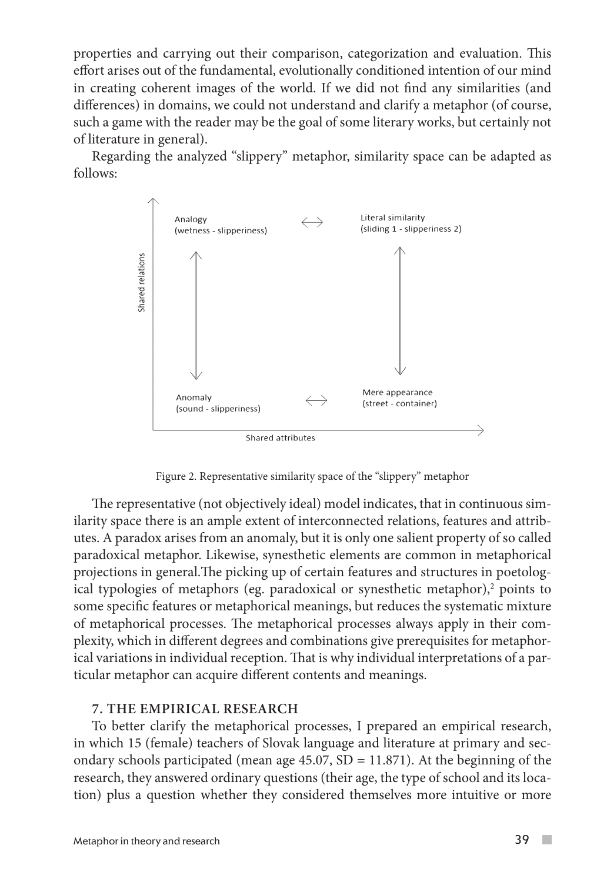properties and carrying out their comparison, categorization and evaluation. This effort arises out of the fundamental, evolutionally conditioned intention of our mind in creating coherent images of the world. If we did not find any similarities (and differences) in domains, we could not understand and clarify a metaphor (of course, such a game with the reader may be the goal of some literary works, but certainly not of literature in general).

Regarding the analyzed "slippery" metaphor, similarity space can be adapted as follows:



Figure 2. Representative similarity space of the "slippery" metaphor

The representative (not objectively ideal) model indicates, that in continuous similarity space there is an ample extent of interconnected relations, features and attributes. A paradox arises from an anomaly, but it is only one salient property of so called paradoxical metaphor. Likewise, synesthetic elements are common in metaphorical projections in general.The picking up of certain features and structures in poetological typologies of metaphors (eg. paradoxical or synesthetic metaphor), $^2$  points to some specific features or metaphorical meanings, but reduces the systematic mixture of metaphorical processes. The metaphorical processes always apply in their complexity, which in different degrees and combinations give prerequisites for metaphorical variations in individual reception. That is why individual interpretations of a particular metaphor can acquire different contents and meanings.

#### **7. THE EMPIRICAL RESEARCH**

To better clarify the metaphorical processes, I prepared an empirical research, in which 15 (female) teachers of Slovak language and literature at primary and secondary schools participated (mean age  $45.07$ , SD = 11.871). At the beginning of the research, they answered ordinary questions (their age, the type of school and its location) plus a question whether they considered themselves more intuitive or more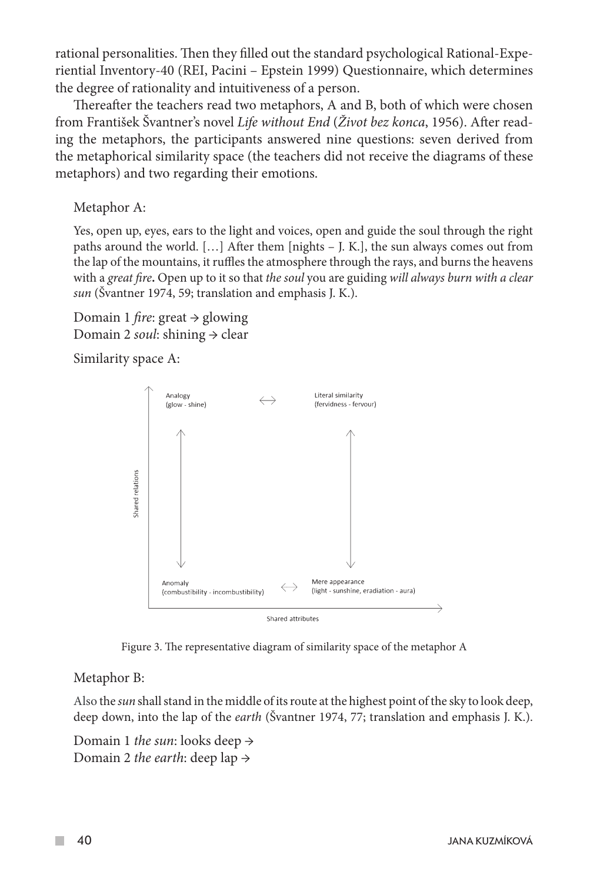rational personalities. Then they filled out the standard psychological Rational-Experiential Inventory-40 (REI, Pacini – Epstein 1999) Questionnaire, which determines the degree of rationality and intuitiveness of a person.

Thereafter the teachers read two metaphors, A and B, both of which were chosen from František Švantner's novel *Life without End* (*Život bez konca*, 1956). After reading the metaphors, the participants answered nine questions: seven derived from the metaphorical similarity space (the teachers did not receive the diagrams of these metaphors) and two regarding their emotions.

Metaphor A:

Yes, open up, eyes, ears to the light and voices, open and guide the soul through the right paths around the world. […] After them [nights – J. K.], the sun always comes out from the lap of the mountains, it ruffles the atmosphere through the rays, and burns the heavens with a *great fire***.** Open up to it so that *the soul* you are guiding *will always burn with a clear sun* (Švantner 1974, 59; translation and emphasis J. K.).

Domain 1 *fire*: great → glowing Domain 2 *soul*: shining → clear

Similarity space A:



Figure 3. The representative diagram of similarity space of the metaphor A

Metaphor B:

Also the *sun* shall stand in the middle of its route at the highest point of the sky to look deep, deep down, into the lap of the *earth* (Švantner 1974, 77; translation and emphasis J. K.).

Domain 1 *the sun*: looks deep → Domain 2 *the earth*: deep lap →

**Tall**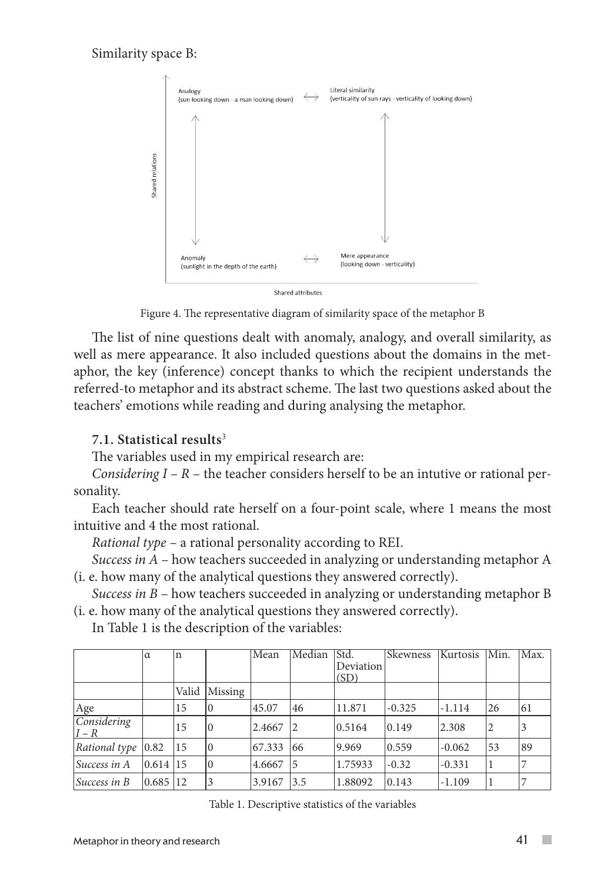## Similarity space B:



Figure 4. The representative diagram of similarity space of the metaphor B

The list of nine questions dealt with anomaly, analogy, and overall similarity, as well as mere appearance. It also included questions about the domains in the metaphor, the key (inference) concept thanks to which the recipient understands the referred-to metaphor and its abstract scheme. The last two questions asked about the teachers' emotions while reading and during analysing the metaphor.

## **7.1. Statistical results**<sup>3</sup>

The variables used in my empirical research are:

*Considering I – R* – the teacher considers herself to be an intutive or rational personality.

Each teacher should rate herself on a four-point scale, where 1 means the most intuitive and 4 the most rational.

*Rational type* – a rational personality according to REI.

*Success in A* – how teachers succeeded in analyzing or understanding metaphor A (i. e. how many of the analytical questions they answered correctly).

*Success in B* – how teachers succeeded in analyzing or understanding metaphor B (i. e. how many of the analytical questions they answered correctly).

In Table 1 is the description of the variables:

|                          | $\alpha$ | n     |          | Mean   | Median         | IStd.<br>Deviation<br>(SD) | <b>Skewness</b> | Kurtosis Min. |    | Max. |
|--------------------------|----------|-------|----------|--------|----------------|----------------------------|-----------------|---------------|----|------|
|                          |          | Valid | Missing  |        |                |                            |                 |               |    |      |
| Age                      |          | 15    | 10       | 45.07  | 46             | 11.871                     | $-0.325$        | $-1.114$      | 26 | 61   |
| Considering<br>$ I - R $ |          | 15    | $\theta$ | 2.4667 | 12             | 0.5164                     | 0.149           | 2.308         | 2  |      |
| Rational type $ 0.82 $   |          | 15    | 10       | 67.333 | 66             | 9.969                      | 0.559           | $-0.062$      | 53 | 89   |
| Success in A             | 0.614 15 |       |          | 4.6667 | $\overline{5}$ | 1.75933                    | $-0.32$         | $-0.331$      |    |      |
| $Success$ in $B$         | 0.685 12 |       | 3        | 3.9167 | 3.5            | 1.88092                    | 0.143           | $-1.109$      |    |      |

Table 1. Descriptive statistics of the variables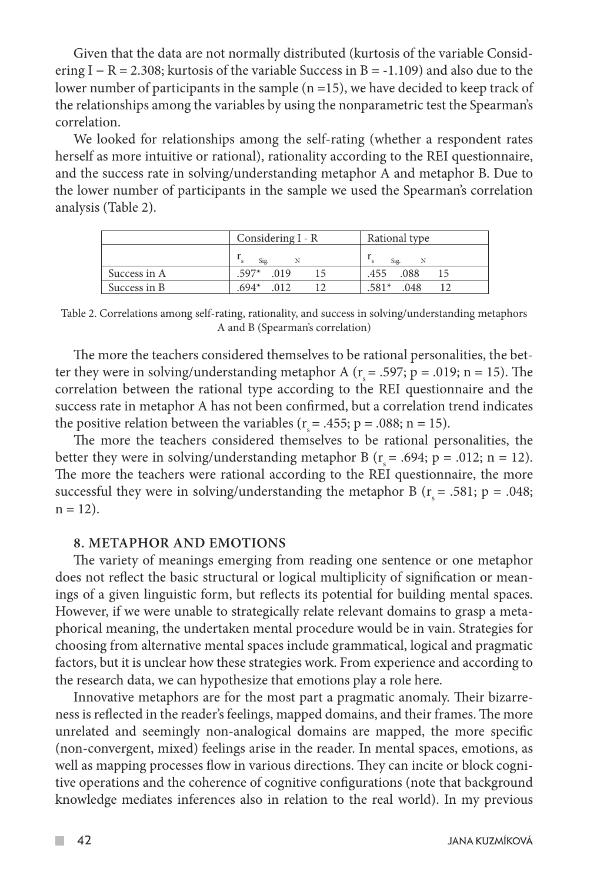Given that the data are not normally distributed (kurtosis of the variable Considering I *−* R = 2.308; kurtosis of the variable Success in B = -1.109) and also due to the lower number of participants in the sample (n =15), we have decided to keep track of the relationships among the variables by using the nonparametric test the Spearman's correlation.

We looked for relationships among the self-rating (whether a respondent rates herself as more intuitive or rational), rationality according to the REI questionnaire, and the success rate in solving/understanding metaphor A and metaphor B. Due to the lower number of participants in the sample we used the Spearman's correlation analysis (Table 2).

|              | Considering I - R | Rational type   |  |  |
|--------------|-------------------|-----------------|--|--|
|              | Sig.              | Sig.<br>N       |  |  |
| Success in A | $.597*$<br>.019   | .455<br>.088    |  |  |
| Success in B | $.694*$<br>.012   | $.581*$<br>.048 |  |  |

Table 2. Correlations among self-rating, rationality, and success in solving/understanding metaphors A and B (Spearman's correlation)

The more the teachers considered themselves to be rational personalities, the better they were in solving/understanding metaphor A ( $r_s$  = .597; p = .019; n = 15). The correlation between the rational type according to the REI questionnaire and the success rate in metaphor A has not been confirmed, but a correlation trend indicates the positive relation between the variables ( $r_s = .455$ ; p = .088; n = 15).

The more the teachers considered themselves to be rational personalities, the better they were in solving/understanding metaphor B ( $r_s$  = .694; p = .012; n = 12). The more the teachers were rational according to the REI questionnaire, the more successful they were in solving/understanding the metaphor B ( $r_s$  = .581; p = .048;  $n = 12$ ).

### **8. METAPHOR AND EMOTIONS**

The variety of meanings emerging from reading one sentence or one metaphor does not reflect the basic structural or logical multiplicity of signification or meanings of a given linguistic form, but reflects its potential for building mental spaces. However, if we were unable to strategically relate relevant domains to grasp a metaphorical meaning, the undertaken mental procedure would be in vain. Strategies for choosing from alternative mental spaces include grammatical, logical and pragmatic factors, but it is unclear how these strategies work. From experience and according to the research data, we can hypothesize that emotions play a role here.

Innovative metaphors are for the most part a pragmatic anomaly. Their bizarreness is reflected in the reader's feelings, mapped domains, and their frames. The more unrelated and seemingly non-analogical domains are mapped, the more specific (non-convergent, mixed) feelings arise in the reader. In mental spaces, emotions, as well as mapping processes flow in various directions. They can incite or block cognitive operations and the coherence of cognitive configurations (note that background knowledge mediates inferences also in relation to the real world). In my previous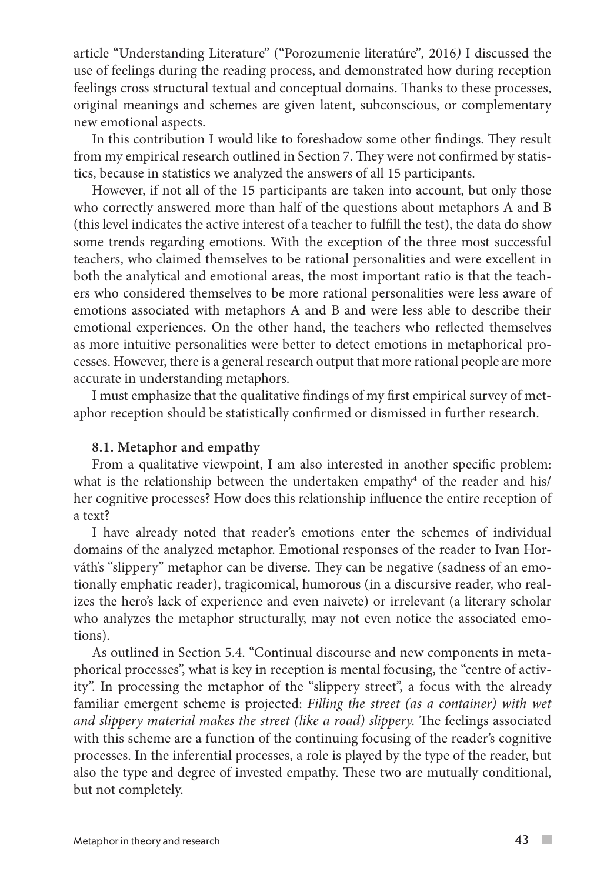article "Understanding Literature" ("Porozumenie literatúre"*,* 2016*)* I discussed the use of feelings during the reading process, and demonstrated how during reception feelings cross structural textual and conceptual domains. Thanks to these processes, original meanings and schemes are given latent, subconscious, or complementary new emotional aspects.

In this contribution I would like to foreshadow some other findings. They result from my empirical research outlined in Section 7. They were not confirmed by statistics, because in statistics we analyzed the answers of all 15 participants.

However, if not all of the 15 participants are taken into account, but only those who correctly answered more than half of the questions about metaphors A and B (this level indicates the active interest of a teacher to fulfill the test), the data do show some trends regarding emotions. With the exception of the three most successful teachers, who claimed themselves to be rational personalities and were excellent in both the analytical and emotional areas, the most important ratio is that the teachers who considered themselves to be more rational personalities were less aware of emotions associated with metaphors A and B and were less able to describe their emotional experiences. On the other hand, the teachers who reflected themselves as more intuitive personalities were better to detect emotions in metaphorical processes. However, there is a general research output that more rational people are more accurate in understanding metaphors.

I must emphasize that the qualitative findings of my first empirical survey of metaphor reception should be statistically confirmed or dismissed in further research.

### **8.1. Metaphor and empathy**

From a qualitative viewpoint, I am also interested in another specific problem: what is the relationship between the undertaken empathy $^4$  of the reader and his/  $\,$ her cognitive processes? How does this relationship influence the entire reception of a text?

I have already noted that reader's emotions enter the schemes of individual domains of the analyzed metaphor. Emotional responses of the reader to Ivan Horváth's "slippery" metaphor can be diverse. They can be negative (sadness of an emotionally emphatic reader), tragicomical, humorous (in a discursive reader, who realizes the hero's lack of experience and even naivete) or irrelevant (a literary scholar who analyzes the metaphor structurally, may not even notice the associated emotions).

As outlined in Section 5.4. "Continual discourse and new components in metaphorical processes", what is key in reception is mental focusing, the "centre of activity". In processing the metaphor of the "slippery street", a focus with the already familiar emergent scheme is projected: *Filling the street (as a container) with wet and slippery material makes the street (like a road) slippery.* The feelings associated with this scheme are a function of the continuing focusing of the reader's cognitive processes. In the inferential processes, a role is played by the type of the reader, but also the type and degree of invested empathy. These two are mutually conditional, but not completely.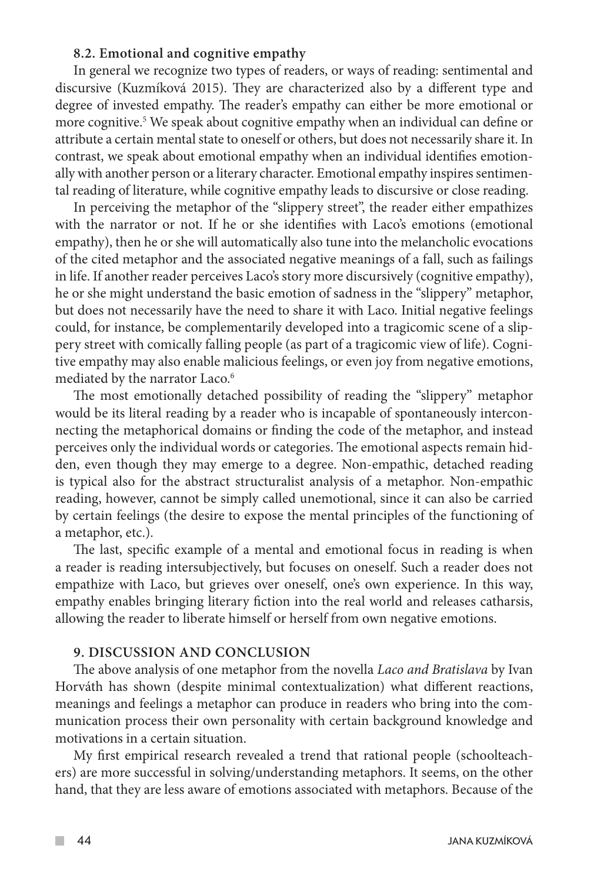### **8.2. Emotional and cognitive empathy**

In general we recognize two types of readers, or ways of reading: sentimental and discursive (Kuzmíková 2015). They are characterized also by a different type and degree of invested empathy. The reader's empathy can either be more emotional or more cognitive.5 We speak about cognitive empathy when an individual can define or attribute a certain mental state to oneself or others, but does not necessarily share it. In contrast, we speak about emotional empathy when an individual identifies emotionally with another person or a literary character. Emotional empathy inspires sentimental reading of literature, while cognitive empathy leads to discursive or close reading.

In perceiving the metaphor of the "slippery street", the reader either empathizes with the narrator or not. If he or she identifies with Laco's emotions (emotional empathy), then he or she will automatically also tune into the melancholic evocations of the cited metaphor and the associated negative meanings of a fall, such as failings in life. If another reader perceives Laco's story more discursively (cognitive empathy), he or she might understand the basic emotion of sadness in the "slippery" metaphor, but does not necessarily have the need to share it with Laco. Initial negative feelings could, for instance, be complementarily developed into a tragicomic scene of a slippery street with comically falling people (as part of a tragicomic view of life). Cognitive empathy may also enable malicious feelings, or even joy from negative emotions, mediated by the narrator Laco.<sup>6</sup>

The most emotionally detached possibility of reading the "slippery" metaphor would be its literal reading by a reader who is incapable of spontaneously interconnecting the metaphorical domains or finding the code of the metaphor, and instead perceives only the individual words or categories. The emotional aspects remain hidden, even though they may emerge to a degree. Non-empathic, detached reading is typical also for the abstract structuralist analysis of a metaphor. Non-empathic reading, however, cannot be simply called unemotional, since it can also be carried by certain feelings (the desire to expose the mental principles of the functioning of a metaphor, etc.).

The last, specific example of a mental and emotional focus in reading is when a reader is reading intersubjectively, but focuses on oneself. Such a reader does not empathize with Laco, but grieves over oneself, one's own experience. In this way, empathy enables bringing literary fiction into the real world and releases catharsis, allowing the reader to liberate himself or herself from own negative emotions.

### **9. DISCUSSION AND CONCLUSION**

The above analysis of one metaphor from the novella *Laco and Bratislava* by Ivan Horváth has shown (despite minimal contextualization) what different reactions, meanings and feelings a metaphor can produce in readers who bring into the communication process their own personality with certain background knowledge and motivations in a certain situation.

My first empirical research revealed a trend that rational people (schoolteachers) are more successful in solving/understanding metaphors. It seems, on the other hand, that they are less aware of emotions associated with metaphors. Because of the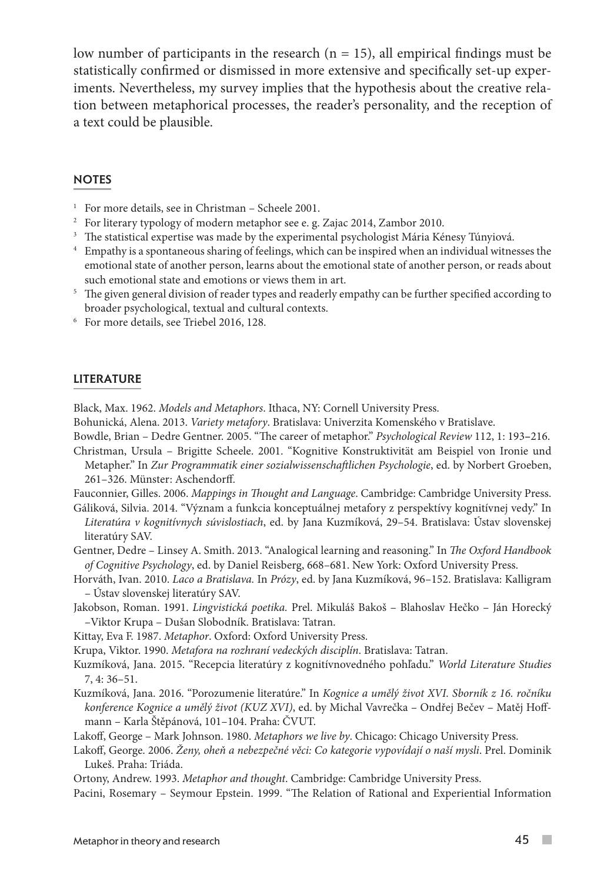low number of participants in the research  $(n = 15)$ , all empirical findings must be statistically confirmed or dismissed in more extensive and specifically set-up experiments. Nevertheless, my survey implies that the hypothesis about the creative relation between metaphorical processes, the reader's personality, and the reception of a text could be plausible.

#### **NOTES**

- <sup>1</sup> For more details, see in Christman Scheele 2001.
- <sup>2</sup> For literary typology of modern metaphor see e. g. Zajac 2014, Zambor 2010.
- <sup>3</sup> The statistical expertise was made by the experimental psychologist Mária Kénesy Túnyiová.
- <sup>4</sup> Empathy is a spontaneous sharing of feelings, which can be inspired when an individual witnesses the emotional state of another person, learns about the emotional state of another person, or reads about such emotional state and emotions or views them in art.
- <sup>5</sup> The given general division of reader types and readerly empathy can be further specified according to broader psychological, textual and cultural contexts. 6 For more details, see Triebel 2016, 128.
- 

#### LITERATURE

Black, Max. 1962. *Models and Metaphors*. Ithaca, NY: Cornell University Press.

Bohunická, Alena. 2013. *Variety metafory*. Bratislava: Univerzita Komenského v Bratislave.

Bowdle, Brian – Dedre Gentner. 2005. "The career of metaphor." *Psychological Review* 112, 1: 193**–**216.

- Christman, Ursula Brigitte Scheele. 2001. "Kognitive Konstruktivität am Beispiel von Ironie und Metapher." In *Zur Programmatik einer sozialwissenschaftlichen Psychologie*, ed. by Norbert Groeben, 261–326. Münster: Aschendorff.
- Fauconnier, Gilles. 2006. *Mappings in Thought and Language*. Cambridge: Cambridge University Press.
- Gáliková, Silvia. 2014. "Význam a funkcia konceptuálnej metafory z perspektívy kognitívnej vedy." In *Literatúra v kognitívnych súvislostiach*, ed. by Jana Kuzmíková, 29–54. Bratislava: Ústav slovenskej literatúry SAV.

Gentner, Dedre – Linsey A. Smith. 2013. "Analogical learning and reasoning." In *The Oxford Handbook of Cognitive Psychology*, ed. by Daniel Reisberg, 668–681. New York: Oxford University Press.

- Horváth, Ivan. 2010. *Laco a Bratislava.* In *Prózy*, ed. by Jana Kuzmíková, 96–152. Bratislava: Kalligram – Ústav slovenskej literatúry SAV.
- Jakobson, Roman. 1991. *Lingvistická poetika.* Prel. Mikuláš Bakoš Blahoslav Hečko Ján Horecký –Viktor Krupa – Dušan Slobodník. Bratislava: Tatran.

Kittay, Eva F. 1987. *Metaphor*. Oxford: Oxford University Press.

Krupa, Viktor. 1990. *Metafora na rozhraní vedeckých disciplín*. Bratislava: Tatran.

- Kuzmíková, Jana. 2015. "Recepcia literatúry z kognitívnovedného pohľadu." *World Literature Studies* 7, 4: 36–51.
- Kuzmíková, Jana. 2016. "Porozumenie literatúre." In *Kognice a umělý život XVI. Sborník z 16. ročníku konference Kognice a umělý život (KUZ XVI)*, ed. by Michal Vavrečka – Ondřej Bečev – Matěj Hoffmann – Karla Štěpánová, 101–104. Praha: ČVUT.

Lakoff, George – Mark Johnson. 1980. *Metaphors we live by*. Chicago: Chicago University Press.

Lakoff, George. 2006. *Ženy, oheň a nebezpečné věci: Co kategorie vypovídají o naší mysli*. Prel. Dominik Lukeš. Praha: Triáda.

Ortony, Andrew. 1993. *Metaphor and thought*. Cambridge: Cambridge University Press.

Pacini, Rosemary – Seymour Epstein. 1999. "The Relation of Rational and Experiential Information